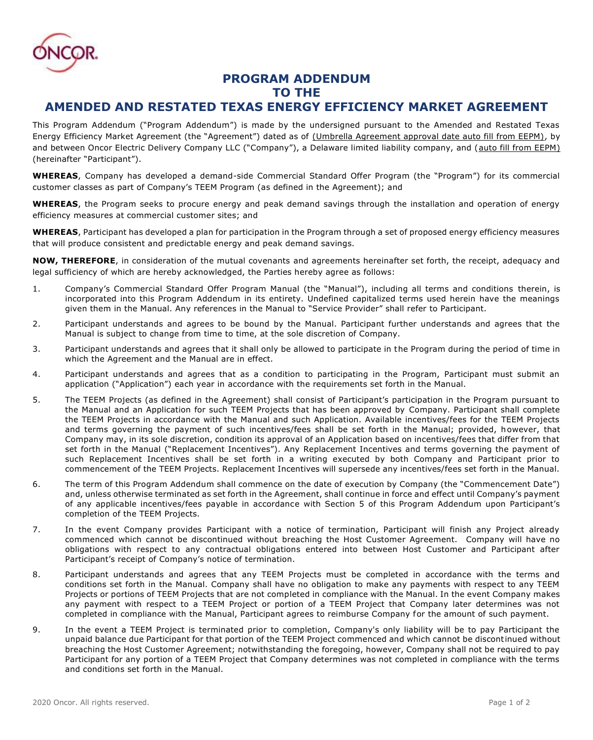

## **PROGRAM ADDENDUM TO THE**

## **AMENDED AND RESTATED TEXAS ENERGY EFFICIENCY MARKET AGREEMENT**

This Program Addendum ("Program Addendum") is made by the undersigned pursuant to the Amended and Restated Texas Energy Efficiency Market Agreement (the "Agreement") dated as of (Umbrella Agreement approval date auto fill from EEPM), by and between Oncor Electric Delivery Company LLC ("Company"), a Delaware limited liability company, and (auto fill from EEPM) (hereinafter "Participant").

**WHEREAS**, Company has developed a demand-side Commercial Standard Offer Program (the "Program") for its commercial customer classes as part of Company's TEEM Program (as defined in the Agreement); and

**WHEREAS**, the Program seeks to procure energy and peak demand savings through the installation and operation of energy efficiency measures at commercial customer sites; and

**WHEREAS**, Participant has developed a plan for participation in the Program through a set of proposed energy efficiency measures that will produce consistent and predictable energy and peak demand savings.

**NOW, THEREFORE**, in consideration of the mutual covenants and agreements hereinafter set forth, the receipt, adequacy and legal sufficiency of which are hereby acknowledged, the Parties hereby agree as follows:

- 1. Company's Commercial Standard Offer Program Manual (the "Manual"), including all terms and conditions therein, is incorporated into this Program Addendum in its entirety. Undefined capitalized terms used herein have the meanings given them in the Manual. Any references in the Manual to "Service Provider" shall refer to Participant.
- 2. Participant understands and agrees to be bound by the Manual. Participant further understands and agrees that the Manual is subject to change from time to time, at the sole discretion of Company.
- 3. Participant understands and agrees that it shall only be allowed to participate in the Program during the period of time in which the Agreement and the Manual are in effect.
- 4. Participant understands and agrees that as a condition to participating in the Program, Participant must submit an application ("Application") each year in accordance with the requirements set forth in the Manual.
- 5. The TEEM Projects (as defined in the Agreement) shall consist of Participant's participation in the Program pursuant to the Manual and an Application for such TEEM Projects that has been approved by Company. Participant shall complete the TEEM Projects in accordance with the Manual and such Application. Available incentives/fees for the TEEM Projects and terms governing the payment of such incentives/fees shall be set forth in the Manual; provided, however, that Company may, in its sole discretion, condition its approval of an Application based on incentives/fees that differ from that set forth in the Manual ("Replacement Incentives"). Any Replacement Incentives and terms governing the payment of such Replacement Incentives shall be set forth in a writing executed by both Company and Participant prior to commencement of the TEEM Projects. Replacement Incentives will supersede any incentives/fees set forth in the Manual.
- 6. The term of this Program Addendum shall commence on the date of execution by Company (the "Commencement Date") and, unless otherwise terminated as set forth in the Agreement, shall continue in force and effect until Company's payment of any applicable incentives/fees payable in accordance with Section 5 of this Program Addendum upon Participant's completion of the TEEM Projects.
- 7. In the event Company provides Participant with a notice of termination, Participant will finish any Project already commenced which cannot be discontinued without breaching the Host Customer Agreement. Company will have no obligations with respect to any contractual obligations entered into between Host Customer and Participant after Participant's receipt of Company's notice of termination.
- 8. Participant understands and agrees that any TEEM Projects must be completed in accordance with the terms and conditions set forth in the Manual. Company shall have no obligation to make any payments with respect to any TEEM Projects or portions of TEEM Projects that are not completed in compliance with the Manual. In the event Company makes any payment with respect to a TEEM Project or portion of a TEEM Project that Company later determines was not completed in compliance with the Manual, Participant agrees to reimburse Company for the amount of such payment.
- 9. In the event a TEEM Project is terminated prior to completion, Company's only liability will be to pay Participant the unpaid balance due Participant for that portion of the TEEM Project commenced and which cannot be discontinued without breaching the Host Customer Agreement; notwithstanding the foregoing, however, Company shall not be required to pay Participant for any portion of a TEEM Project that Company determines was not completed in compliance with the terms and conditions set forth in the Manual.